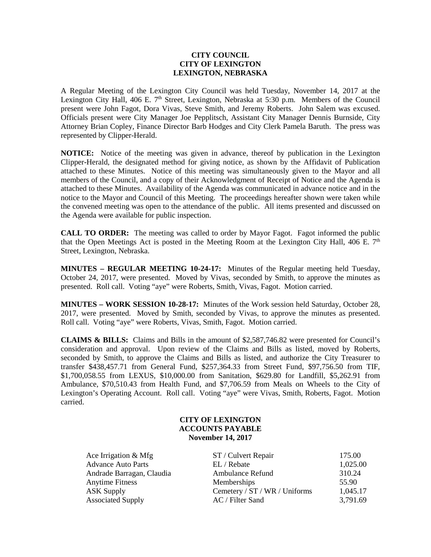### **CITY COUNCIL CITY OF LEXINGTON LEXINGTON, NEBRASKA**

A Regular Meeting of the Lexington City Council was held Tuesday, November 14, 2017 at the Lexington City Hall, 406 E.  $7<sup>th</sup>$  Street, Lexington, Nebraska at 5:30 p.m. Members of the Council present were John Fagot, Dora Vivas, Steve Smith, and Jeremy Roberts. John Salem was excused. Officials present were City Manager Joe Pepplitsch, Assistant City Manager Dennis Burnside, City Attorney Brian Copley, Finance Director Barb Hodges and City Clerk Pamela Baruth. The press was represented by Clipper-Herald.

**NOTICE:** Notice of the meeting was given in advance, thereof by publication in the Lexington Clipper-Herald, the designated method for giving notice, as shown by the Affidavit of Publication attached to these Minutes. Notice of this meeting was simultaneously given to the Mayor and all members of the Council, and a copy of their Acknowledgment of Receipt of Notice and the Agenda is attached to these Minutes. Availability of the Agenda was communicated in advance notice and in the notice to the Mayor and Council of this Meeting. The proceedings hereafter shown were taken while the convened meeting was open to the attendance of the public. All items presented and discussed on the Agenda were available for public inspection.

**CALL TO ORDER:** The meeting was called to order by Mayor Fagot. Fagot informed the public that the Open Meetings Act is posted in the Meeting Room at the Lexington City Hall, 406 E.  $7<sup>th</sup>$ Street, Lexington, Nebraska.

**MINUTES – REGULAR MEETING 10-24-17:** Minutes of the Regular meeting held Tuesday, October 24, 2017, were presented. Moved by Vivas, seconded by Smith, to approve the minutes as presented. Roll call. Voting "aye" were Roberts, Smith, Vivas, Fagot. Motion carried.

**MINUTES – WORK SESSION 10-28-17:** Minutes of the Work session held Saturday, October 28, 2017, were presented. Moved by Smith, seconded by Vivas, to approve the minutes as presented. Roll call. Voting "aye" were Roberts, Vivas, Smith, Fagot. Motion carried.

**CLAIMS & BILLS:** Claims and Bills in the amount of \$2,587,746.82 were presented for Council's consideration and approval. Upon review of the Claims and Bills as listed, moved by Roberts, seconded by Smith, to approve the Claims and Bills as listed, and authorize the City Treasurer to transfer \$438,457.71 from General Fund, \$257,364.33 from Street Fund, \$97,756.50 from TIF, \$1,700,058.55 from LEXUS, \$10,000.00 from Sanitation, \$629.80 for Landfill, \$5,262.91 from Ambulance, \$70,510.43 from Health Fund, and \$7,706.59 from Meals on Wheels to the City of Lexington's Operating Account. Roll call. Voting "aye" were Vivas, Smith, Roberts, Fagot. Motion carried.

# **CITY OF LEXINGTON ACCOUNTS PAYABLE November 14, 2017**

| Ace Irrigation $& Mfg$    | ST / Culvert Repair           | 175.00   |
|---------------------------|-------------------------------|----------|
| <b>Advance Auto Parts</b> | EL / Rebate                   | 1,025.00 |
| Andrade Barragan, Claudia | <b>Ambulance Refund</b>       | 310.24   |
| <b>Anytime Fitness</b>    | Memberships                   | 55.90    |
| <b>ASK Supply</b>         | Cemetery / ST / WR / Uniforms | 1,045.17 |
| <b>Associated Supply</b>  | AC / Filter Sand              | 3,791.69 |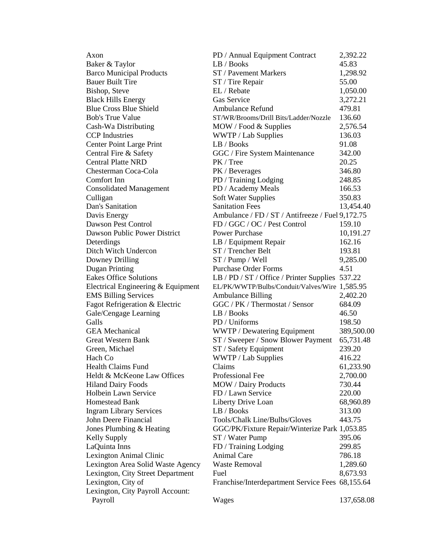| Axon                               | PD / Annual Equipment Contract                   | 2,392.22   |
|------------------------------------|--------------------------------------------------|------------|
| Baker & Taylor                     | LB / Books                                       | 45.83      |
| <b>Barco Municipal Products</b>    | ST / Pavement Markers                            | 1,298.92   |
| <b>Bauer Built Tire</b>            | ST / Tire Repair                                 | 55.00      |
| Bishop, Steve                      | EL / Rebate                                      | 1,050.00   |
| <b>Black Hills Energy</b>          | Gas Service                                      | 3,272.21   |
| <b>Blue Cross Blue Shield</b>      | <b>Ambulance Refund</b>                          | 479.81     |
| <b>Bob's True Value</b>            | ST/WR/Brooms/Drill Bits/Ladder/Nozzle            | 136.60     |
| Cash-Wa Distributing               | MOW / Food & Supplies                            | 2,576.54   |
| <b>CCP</b> Industries              | WWTP / Lab Supplies                              | 136.03     |
| Center Point Large Print           | LB / Books                                       | 91.08      |
| Central Fire & Safety              | GGC / Fire System Maintenance                    | 342.00     |
| <b>Central Platte NRD</b>          | PK / Tree                                        | 20.25      |
| Chesterman Coca-Cola               | PK / Beverages                                   | 346.80     |
| Comfort Inn                        | PD / Training Lodging                            | 248.85     |
| <b>Consolidated Management</b>     | PD / Academy Meals                               | 166.53     |
| Culligan                           | <b>Soft Water Supplies</b>                       | 350.83     |
| Dan's Sanitation                   | <b>Sanitation Fees</b>                           | 13,454.40  |
| Davis Energy                       | Ambulance / FD / ST / Antifreeze / Fuel 9,172.75 |            |
| Dawson Pest Control                | FD / GGC / OC / Pest Control                     | 159.10     |
| Dawson Public Power District       | <b>Power Purchase</b>                            | 10,191.27  |
| Deterdings                         | LB / Equipment Repair                            | 162.16     |
| Ditch Witch Undercon               | ST / Trencher Belt                               | 193.81     |
| Downey Drilling                    | ST / Pump / Well                                 | 9,285.00   |
| Dugan Printing                     | <b>Purchase Order Forms</b>                      | 4.51       |
| <b>Eakes Office Solutions</b>      | LB / PD / ST / Office / Printer Supplies 537.22  |            |
| Electrical Engineering & Equipment | EL/PK/WWTP/Bulbs/Conduit/Valves/Wire 1,585.95    |            |
| <b>EMS Billing Services</b>        | <b>Ambulance Billing</b>                         | 2,402.20   |
| Fagot Refrigeration & Electric     | GGC / PK / Thermostat / Sensor                   | 684.09     |
| Gale/Cengage Learning              | LB / Books                                       | 46.50      |
| Galls                              | PD / Uniforms                                    | 198.50     |
| <b>GEA</b> Mechanical              | WWTP / Dewatering Equipment                      | 389,500.00 |
| <b>Great Western Bank</b>          | ST / Sweeper / Snow Blower Payment               | 65,731.48  |
| Green, Michael                     | ST / Safety Equipment                            | 239.20     |
| Hach Co                            | WWTP / Lab Supplies                              | 416.22     |
| Health Claims Fund                 | Claims                                           | 61,233.90  |
| Heldt & McKeone Law Offices        | Professional Fee                                 | 2,700.00   |
| <b>Hiland Dairy Foods</b>          | <b>MOW</b> / Dairy Products                      | 730.44     |
| Holbein Lawn Service               | FD / Lawn Service                                | 220.00     |
| <b>Homestead Bank</b>              | Liberty Drive Loan                               | 68,960.89  |
| <b>Ingram Library Services</b>     | LB / Books                                       | 313.00     |
| John Deere Financial               | Tools/Chalk Line/Bulbs/Gloves                    | 443.75     |
| Jones Plumbing & Heating           | GGC/PK/Fixture Repair/Winterize Park 1,053.85    |            |
| Kelly Supply                       | ST / Water Pump                                  | 395.06     |
| LaQuinta Inns                      | FD / Training Lodging                            | 299.85     |
| Lexington Animal Clinic            | Animal Care                                      | 786.18     |
| Lexington Area Solid Waste Agency  | <b>Waste Removal</b>                             | 1,289.60   |
| Lexington, City Street Department  | Fuel                                             | 8,673.93   |
| Lexington, City of                 | Franchise/Interdepartment Service Fees 68,155.64 |            |
| Lexington, City Payroll Account:   |                                                  |            |
| Payroll                            | Wages                                            | 137,658.08 |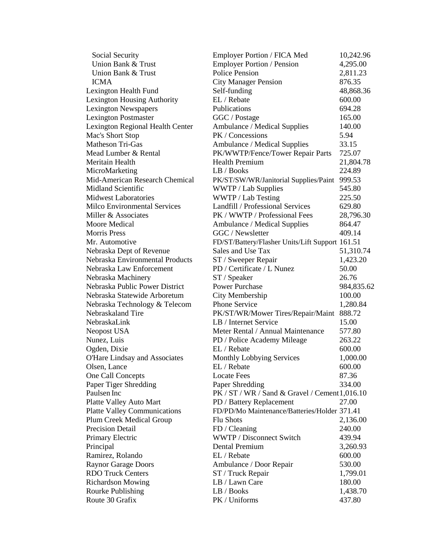| Social Security                     | Employer Portion / FICA Med                     | 10,242.96  |
|-------------------------------------|-------------------------------------------------|------------|
| Union Bank & Trust                  | <b>Employer Portion / Pension</b>               | 4,295.00   |
| Union Bank & Trust                  | <b>Police Pension</b>                           | 2,811.23   |
| <b>ICMA</b>                         | <b>City Manager Pension</b>                     | 876.35     |
| Lexington Health Fund               | Self-funding                                    | 48,868.36  |
| Lexington Housing Authority         | EL / Rebate                                     | 600.00     |
| Lexington Newspapers                | Publications                                    | 694.28     |
| <b>Lexington Postmaster</b>         | GGC / Postage                                   | 165.00     |
| Lexington Regional Health Center    | Ambulance / Medical Supplies                    | 140.00     |
| Mac's Short Stop                    | PK / Concessions                                | 5.94       |
| <b>Matheson Tri-Gas</b>             | Ambulance / Medical Supplies                    | 33.15      |
| Mead Lumber & Rental                | PK/WWTP/Fence/Tower Repair Parts                | 725.07     |
| Meritain Health                     | <b>Health Premium</b>                           | 21,804.78  |
| MicroMarketing                      | LB / Books                                      | 224.89     |
| Mid-American Research Chemical      | PK/ST/SW/WR/Janitorial Supplies/Paint           | 999.53     |
| <b>Midland Scientific</b>           | WWTP / Lab Supplies                             | 545.80     |
| <b>Midwest Laboratories</b>         | WWTP / Lab Testing                              | 225.50     |
| <b>Milco Environmental Services</b> | Landfill / Professional Services                | 629.80     |
| Miller & Associates                 | PK / WWTP / Professional Fees                   | 28,796.30  |
| Moore Medical                       | Ambulance / Medical Supplies                    | 864.47     |
| <b>Morris Press</b>                 | GGC / Newsletter                                | 409.14     |
| Mr. Automotive                      | FD/ST/Battery/Flasher Units/Lift Support 161.51 |            |
| Nebraska Dept of Revenue            | Sales and Use Tax                               | 51,310.74  |
| Nebraska Environmental Products     | ST / Sweeper Repair                             | 1,423.20   |
| Nebraska Law Enforcement            | PD / Certificate / L Nunez                      | 50.00      |
| Nebraska Machinery                  | ST / Speaker                                    | 26.76      |
| Nebraska Public Power District      | <b>Power Purchase</b>                           | 984,835.62 |
| Nebraska Statewide Arboretum        | City Membership                                 | 100.00     |
| Nebraska Technology & Telecom       | Phone Service                                   | 1,280.84   |
| Nebraskaland Tire                   | PK/ST/WR/Mower Tires/Repair/Maint               | 888.72     |
| NebraskaLink                        | LB / Internet Service                           | 15.00      |
| Neopost USA                         | Meter Rental / Annual Maintenance               | 577.80     |
| Nunez, Luis                         | PD / Police Academy Mileage                     | 263.22     |
| Ogden, Dixie                        | EL / Rebate                                     | 600.00     |
| O'Hare Lindsay and Associates       | <b>Monthly Lobbying Services</b>                | 1,000.00   |
| Olsen, Lance                        | EL / Rebate                                     | 600.00     |
| One Call Concepts                   | <b>Locate Fees</b>                              | 87.36      |
| Paper Tiger Shredding               | Paper Shredding                                 | 334.00     |
| Paulsen Inc                         | PK / ST / WR / Sand & Gravel / Cement 1,016.10  |            |
| Platte Valley Auto Mart             | PD / Battery Replacement                        | 27.00      |
| <b>Platte Valley Communications</b> | FD/PD/Mo Maintenance/Batteries/Holder 371.41    |            |
| Plum Creek Medical Group            | <b>Flu Shots</b>                                | 2,136.00   |
| <b>Precision Detail</b>             | FD / Cleaning                                   | 240.00     |
| Primary Electric                    | WWTP / Disconnect Switch                        | 439.94     |
| Principal                           | <b>Dental Premium</b>                           | 3,260.93   |
| Ramirez, Rolando                    | EL / Rebate                                     | 600.00     |
| <b>Raynor Garage Doors</b>          | Ambulance / Door Repair                         | 530.00     |
| <b>RDO Truck Centers</b>            | ST / Truck Repair                               | 1,799.01   |
| <b>Richardson Mowing</b>            | LB / Lawn Care                                  | 180.00     |
| Rourke Publishing                   | LB / Books                                      | 1,438.70   |
| Route 30 Grafix                     | PK / Uniforms                                   | 437.80     |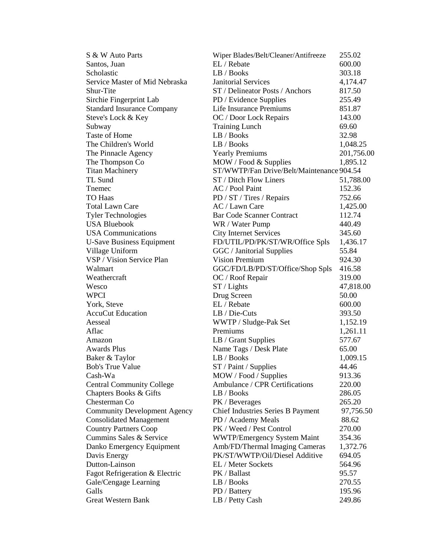| S & W Auto Parts                    | Wiper Blades/Belt/Cleaner/Antifreeze      | 255.02          |
|-------------------------------------|-------------------------------------------|-----------------|
| Santos, Juan                        | EL / Rebate                               | 600.00          |
| Scholastic                          | LB / Books                                | 303.18          |
| Service Master of Mid Nebraska      | <b>Janitorial Services</b>                | 4,174.47        |
| Shur-Tite                           | ST / Delineator Posts / Anchors           | 817.50          |
| Sirchie Fingerprint Lab             | PD / Evidence Supplies                    | 255.49          |
| <b>Standard Insurance Company</b>   | Life Insurance Premiums                   | 851.87          |
| Steve's Lock & Key                  | OC / Door Lock Repairs                    | 143.00          |
| Subway                              | <b>Training Lunch</b>                     | 69.60           |
| Taste of Home                       | LB / Books                                | 32.98           |
| The Children's World                | LB / Books                                | 1,048.25        |
| The Pinnacle Agency                 | <b>Yearly Premiums</b>                    | 201,756.00      |
| The Thompson Co                     | MOW / Food & Supplies                     | 1,895.12        |
| <b>Titan Machinery</b>              | ST/WWTP/Fan Drive/Belt/Maintenance 904.54 |                 |
| TL Sund                             | ST / Ditch Flow Liners                    | 51,788.00       |
| Tnemec                              | AC / Pool Paint                           | 152.36          |
| TO Haas                             | PD / ST / Tires / Repairs                 | 752.66          |
|                                     |                                           |                 |
| <b>Total Lawn Care</b>              | AC / Lawn Care                            | 1,425.00        |
| <b>Tyler Technologies</b>           | <b>Bar Code Scanner Contract</b>          | 112.74          |
| <b>USA Bluebook</b>                 | WR / Water Pump                           | 440.49          |
| <b>USA</b> Communications           | <b>City Internet Services</b>             | 345.60          |
| <b>U-Save Business Equipment</b>    | FD/UTIL/PD/PK/ST/WR/Office Spls           | 1,436.17        |
| Village Uniform                     | GGC / Janitorial Supplies                 | 55.84           |
| VSP / Vision Service Plan           | <b>Vision Premium</b>                     | 924.30          |
| Walmart                             | GGC/FD/LB/PD/ST/Office/Shop Spls          | 416.58          |
| Weathercraft                        | OC / Roof Repair                          | 319.00          |
| Wesco                               | $ST /$ Lights                             | 47,818.00       |
| <b>WPCI</b>                         | Drug Screen                               | 50.00           |
| York, Steve                         | EL / Rebate                               | 600.00          |
| <b>AccuCut Education</b>            | LB / Die-Cuts                             | 393.50          |
| Aesseal                             | WWTP / Sludge-Pak Set                     | 1,152.19        |
| Aflac                               | Premiums                                  | 1,261.11        |
| Amazon                              | LB / Grant Supplies                       | 577.67          |
| <b>Awards Plus</b>                  | Name Tags / Desk Plate                    | 65.00           |
| Baker & Taylor                      | LB / Books                                | 1,009.15        |
| <b>Bob's True Value</b>             | ST / Paint / Supplies                     | 44.46           |
| Cash-Wa                             | MOW / Food / Supplies                     | 913.36          |
| <b>Central Community College</b>    | Ambulance / CPR Certifications            | 220.00          |
| Chapters Books & Gifts              | LB / Books                                | 286.05          |
| Chesterman Co                       | PK / Beverages                            | 265.20          |
| <b>Community Development Agency</b> | Chief Industries Series B Payment         | 97,756.50       |
| <b>Consolidated Management</b>      | PD / Academy Meals                        | 88.62           |
| <b>Country Partners Coop</b>        | PK / Weed / Pest Control                  | 270.00          |
| Cummins Sales & Service             | <b>WWTP/Emergency System Maint</b>        | 354.36          |
| Danko Emergency Equipment           | Amb/FD/Thermal Imaging Cameras            | 1,372.76        |
| Davis Energy                        | PK/ST/WWTP/Oil/Diesel Additive            | 694.05          |
| Dutton-Lainson                      | EL / Meter Sockets                        | 564.96          |
| Fagot Refrigeration & Electric      | PK / Ballast                              |                 |
| Gale/Cengage Learning               | LB / Books                                | 95.57<br>270.55 |
| Galls                               | PD / Battery                              | 195.96          |
| <b>Great Western Bank</b>           |                                           | 249.86          |
|                                     | LB / Petty Cash                           |                 |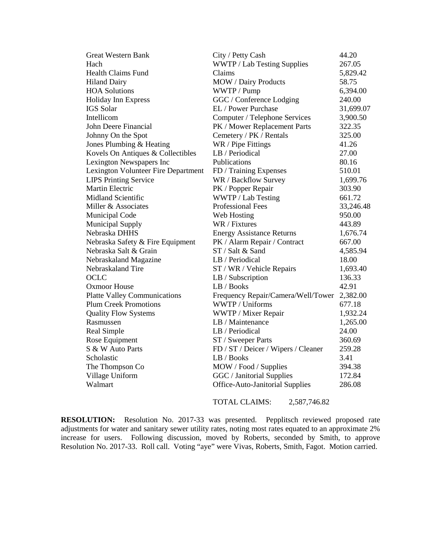| <b>Great Western Bank</b>           | City / Petty Cash<br>44.20             |           |
|-------------------------------------|----------------------------------------|-----------|
| Hach                                | WWTP / Lab Testing Supplies            | 267.05    |
| <b>Health Claims Fund</b>           | Claims                                 | 5,829.42  |
| <b>Hiland Dairy</b>                 | MOW / Dairy Products                   | 58.75     |
| <b>HOA Solutions</b>                | WWTP / Pump                            | 6,394.00  |
| <b>Holiday Inn Express</b>          | GGC / Conference Lodging               | 240.00    |
| <b>IGS</b> Solar                    | EL / Power Purchase                    | 31,699.07 |
| Intellicom                          | Computer / Telephone Services          | 3,900.50  |
| John Deere Financial                | PK / Mower Replacement Parts           | 322.35    |
| Johnny On the Spot                  | Cemetery / PK / Rentals                | 325.00    |
| Jones Plumbing & Heating            | WR / Pipe Fittings                     | 41.26     |
| Kovels On Antiques & Collectibles   | LB / Periodical                        | 27.00     |
| Lexington Newspapers Inc            | Publications                           | 80.16     |
| Lexington Volunteer Fire Department | FD / Training Expenses                 | 510.01    |
| <b>LIPS Printing Service</b>        | WR / Backflow Survey                   | 1,699.76  |
| <b>Martin Electric</b>              | PK / Popper Repair                     | 303.90    |
| <b>Midland Scientific</b>           | WWTP / Lab Testing                     | 661.72    |
| Miller & Associates                 | <b>Professional Fees</b>               | 33,246.48 |
| <b>Municipal Code</b>               | Web Hosting                            | 950.00    |
| <b>Municipal Supply</b>             | WR / Fixtures                          | 443.89    |
| Nebraska DHHS                       | <b>Energy Assistance Returns</b>       | 1,676.74  |
| Nebraska Safety & Fire Equipment    | PK / Alarm Repair / Contract           | 667.00    |
| Nebraska Salt & Grain               | ST / Salt & Sand                       | 4,585.94  |
| Nebraskaland Magazine               | LB / Periodical                        | 18.00     |
| Nebraskaland Tire                   | ST / WR / Vehicle Repairs              | 1,693.40  |
| <b>OCLC</b>                         | LB / Subscription                      | 136.33    |
| <b>Oxmoor House</b>                 | LB / Books                             | 42.91     |
| <b>Platte Valley Communications</b> | Frequency Repair/Camera/Well/Tower     | 2,382.00  |
| <b>Plum Creek Promotions</b>        | WWTP / Uniforms                        | 677.18    |
| <b>Quality Flow Systems</b>         | WWTP / Mixer Repair                    | 1,932.24  |
| Rasmussen                           | LB / Maintenance                       | 1,265.00  |
| Real Simple                         | LB / Periodical                        | 24.00     |
| Rose Equipment                      | ST / Sweeper Parts                     | 360.69    |
| S & W Auto Parts                    | FD / ST / Deicer / Wipers / Cleaner    | 259.28    |
| Scholastic                          | LB / Books<br>3.41                     |           |
| The Thompson Co                     | MOW / Food / Supplies                  | 394.38    |
| Village Uniform                     | GGC / Janitorial Supplies              | 172.84    |
| Walmart                             | <b>Office-Auto-Janitorial Supplies</b> | 286.08    |
|                                     |                                        |           |

TOTAL CLAIMS: 2,587,746.82

**RESOLUTION:** Resolution No. 2017-33 was presented. Pepplitsch reviewed proposed rate adjustments for water and sanitary sewer utility rates, noting most rates equated to an approximate 2% increase for users.Following discussion, moved by Roberts, seconded by Smith, to approve Resolution No. 2017-33. Roll call. Voting "aye" were Vivas, Roberts, Smith, Fagot. Motion carried.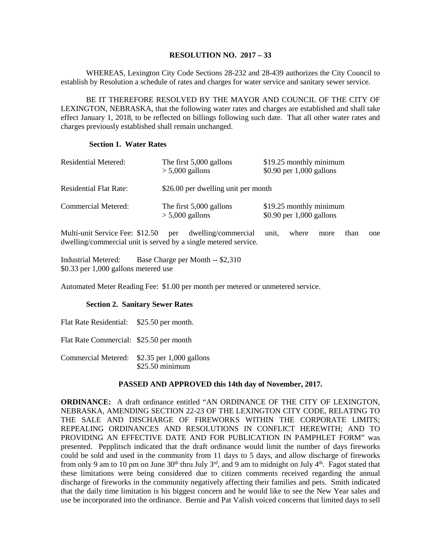### **RESOLUTION NO. 2017 – 33**

WHEREAS, Lexington City Code Sections 28-232 and 28-439 authorizes the City Council to establish by Resolution a schedule of rates and charges for water service and sanitary sewer service.

BE IT THEREFORE RESOLVED BY THE MAYOR AND COUNCIL OF THE CITY OF LEXINGTON, NEBRASKA, that the following water rates and charges are established and shall take effect January 1, 2018, to be reflected on billings following such date. That all other water rates and charges previously established shall remain unchanged.

### **Section 1. Water Rates**

| Residential Metered:          | The first 5,000 gallons<br>$> 5,000$ gallons | \$19.25 monthly minimum<br>$$0.90$ per 1,000 gallons |
|-------------------------------|----------------------------------------------|------------------------------------------------------|
| <b>Residential Flat Rate:</b> | \$26.00 per dwelling unit per month          |                                                      |
| Commercial Metered:           | The first 5,000 gallons<br>$> 5,000$ gallons | \$19.25 monthly minimum<br>$$0.90$ per 1,000 gallons |

Multi-unit Service Fee: \$12.50 per dwelling/commercial unit, where more than one dwelling/commercial unit is served by a single metered service.

Industrial Metered: Base Charge per Month -- \$2,310 \$0.33 per 1,000 gallons metered use

Automated Meter Reading Fee: \$1.00 per month per metered or unmetered service.

# **Section 2. Sanitary Sewer Rates**

Flat Rate Residential: \$25.50 per month. Flat Rate Commercial: \$25.50 per month Commercial Metered: \$2.35 per 1,000 gallons \$25.50 minimum

# **PASSED AND APPROVED this 14th day of November, 2017.**

**ORDINANCE:** A draft ordinance entitled "AN ORDINANCE OF THE CITY OF LEXINGTON, NEBRASKA, AMENDING SECTION 22-23 OF THE LEXINGTON CITY CODE, RELATING TO THE SALE AND DISCHARGE OF FIREWORKS WITHIN THE CORPORATE LIMITS; REPEALING ORDINANCES AND RESOLUTIONS IN CONFLICT HEREWITH; AND TO PROVIDING AN EFFECTIVE DATE AND FOR PUBLICATION IN PAMPHLET FORM" was presented. Pepplitsch indicated that the draft ordinance would limit the number of days fireworks could be sold and used in the community from 11 days to 5 days, and allow discharge of fireworks from only 9 am to 10 pm on June  $30<sup>th</sup>$  thru July  $3<sup>rd</sup>$ , and 9 am to midnight on July  $4<sup>th</sup>$ . Fagot stated that these limitations were being considered due to citizen comments received regarding the annual discharge of fireworks in the community negatively affecting their families and pets. Smith indicated that the daily time limitation is his biggest concern and he would like to see the New Year sales and use be incorporated into the ordinance. Bernie and Pat Valish voiced concerns that limited days to sell